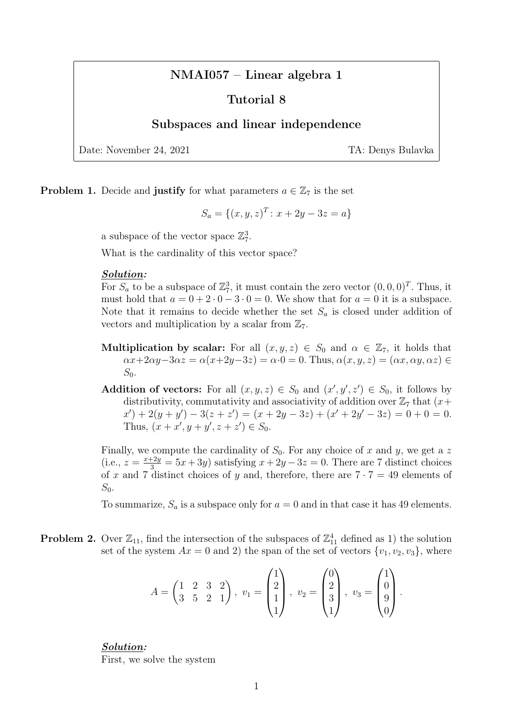# NMAI057 – Linear algebra 1

## Tutorial 8

## Subspaces and linear independence

Date: November 24, 2021 TA: Denys Bulavka

**Problem 1.** Decide and **justify** for what parameters  $a \in \mathbb{Z}_7$  is the set

$$
S_a = \{(x, y, z)^T : x + 2y - 3z = a\}
$$

a subspace of the vector space  $\mathbb{Z}_7^3$ .

What is the cardinality of this vector space?

#### Solution:

For  $S_a$  to be a subspace of  $\mathbb{Z}_7^3$ , it must contain the zero vector  $(0,0,0)^T$ . Thus, it must hold that  $a = 0 + 2 \cdot 0 - 3 \cdot 0 = 0$ . We show that for  $a = 0$  it is a subspace. Note that it remains to decide whether the set  $S_a$  is closed under addition of vectors and multiplication by a scalar from  $\mathbb{Z}_7$ .

- **Multiplication by scalar:** For all  $(x, y, z) \in S_0$  and  $\alpha \in \mathbb{Z}_7$ , it holds that  $\alpha x+2\alpha y-3\alpha z = \alpha(x+2y-3z) = \alpha \cdot 0 = 0$ . Thus,  $\alpha(x, y, z) = (\alpha x, \alpha y, \alpha z) \in$  $S_0$ .
- Addition of vectors: For all  $(x, y, z) \in S_0$  and  $(x', y', z') \in S_0$ , it follows by distributivity, commutativity and associativity of addition over  $\mathbb{Z}_7$  that  $(x+)$  $(x') + 2(y + y') - 3(z + z') = (x + 2y - 3z) + (x' + 2y' - 3z) = 0 + 0 = 0.$ Thus,  $(x + x', y + y', z + z') \in S_0$ .

Finally, we compute the cardinality of  $S_0$ . For any choice of x and y, we get a z (i.e.,  $z = \frac{x+2y}{3} = 5x+3y$ ) satisfying  $x+2y-3z = 0$ . There are 7 distinct choices of x and 7 distinct choices of y and, therefore, there are  $7 \cdot 7 = 49$  elements of  $S_0$ .

To summarize,  $S_a$  is a subspace only for  $a = 0$  and in that case it has 49 elements.

**Problem 2.** Over  $\mathbb{Z}_{11}$ , find the intersection of the subspaces of  $\mathbb{Z}_{11}^4$  defined as 1) the solution set of the system  $Ax = 0$  and 2) the span of the set of vectors  $\{v_1, v_2, v_3\}$ , where

$$
A = \begin{pmatrix} 1 & 2 & 3 & 2 \\ 3 & 5 & 2 & 1 \end{pmatrix}, v_1 = \begin{pmatrix} 1 \\ 2 \\ 1 \\ 1 \end{pmatrix}, v_2 = \begin{pmatrix} 0 \\ 2 \\ 3 \\ 1 \end{pmatrix}, v_3 = \begin{pmatrix} 1 \\ 0 \\ 9 \\ 0 \end{pmatrix}.
$$

Solution: First, we solve the system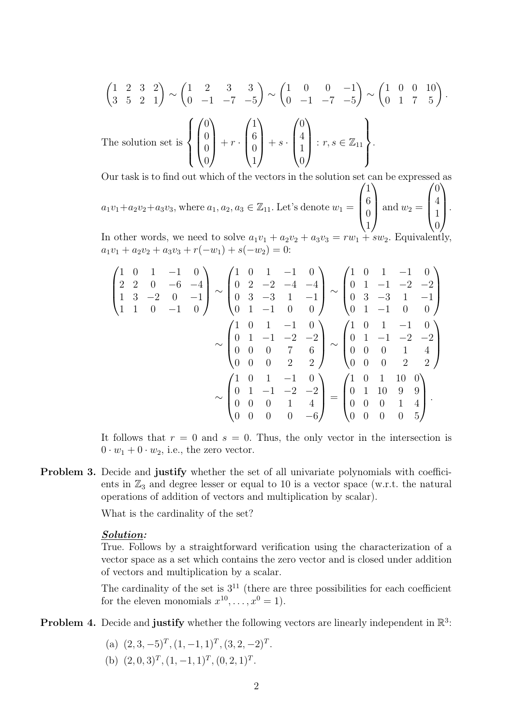$$
\begin{pmatrix} 1 & 2 & 3 & 2 \ 3 & 5 & 2 & 1 \end{pmatrix} \sim \begin{pmatrix} 1 & 2 & 3 & 3 \ 0 & -1 & -7 & -5 \end{pmatrix} \sim \begin{pmatrix} 1 & 0 & 0 & -1 \ 0 & -1 & -7 & -5 \end{pmatrix} \sim \begin{pmatrix} 1 & 0 & 0 & 10 \ 0 & 1 & 7 & 5 \end{pmatrix}.
$$
  
The solution set is 
$$
\begin{pmatrix} 0 \\ 0 \\ 0 \\ 0 \end{pmatrix} + r \cdot \begin{pmatrix} 1 \\ 6 \\ 0 \\ 1 \end{pmatrix} + s \cdot \begin{pmatrix} 0 \\ 4 \\ 1 \\ 0 \end{pmatrix} : r, s \in \mathbb{Z}_{11}.
$$

Our task is to find out which of the vectors in the solution set can be expressed as  $a_1v_1+a_2v_2+a_3v_3$ , where  $a_1, a_2, a_3 \in \mathbb{Z}_{11}$ . Let's denote  $w_1 =$  $\sqrt{ }$  $\overline{\mathcal{L}}$ 1 6 0 1  $\setminus$ and  $w_2 =$  $\sqrt{ }$  $\vert$ 0 4 1  $\theta$  $\setminus$  $\int$ 

In other words, we need to solve  $a_1v_1 + a_2v_2 + a_3v_3 = rw_1 + sw_2$ . Equivalently,  $a_1v_1 + a_2v_2 + a_3v_3 + r(-w_1) + s(-w_2) = 0:$ 

$$
\begin{pmatrix}\n1 & 0 & 1 & -1 & 0 \\
2 & 2 & 0 & -6 & -4 \\
1 & 3 & -2 & 0 & -1 \\
1 & 1 & 0 & -1 & 0\n\end{pmatrix}\n\sim\n\begin{pmatrix}\n1 & 0 & 1 & -1 & 0 \\
0 & 2 & -2 & -4 & -4 \\
0 & 3 & -3 & 1 & -1 \\
0 & 1 & -1 & 0 & 0\n\end{pmatrix}\n\sim\n\begin{pmatrix}\n1 & 0 & 1 & -1 & 0 \\
0 & 1 & -1 & -2 & -2 \\
0 & 0 & 1 & -1 & 0 & 0 \\
0 & 0 & 0 & 7 & 6 \\
0 & 0 & 0 & 2 & 2\n\end{pmatrix}\n\sim\n\begin{pmatrix}\n1 & 0 & 1 & -1 & 0 \\
0 & 1 & -1 & -2 & -2 \\
0 & 0 & 0 & 1 & 4 \\
0 & 0 & 0 & 2 & 2\n\end{pmatrix}\n\sim\n\begin{pmatrix}\n1 & 0 & 1 & -1 & 0 \\
0 & 1 & -1 & -2 & -2 \\
0 & 0 & 0 & 2 & 2\n\end{pmatrix}
$$
\n
$$
\sim\n\begin{pmatrix}\n1 & 0 & 1 & -1 & 0 \\
0 & 1 & -1 & -2 & -2 \\
0 & 0 & 0 & 1 & 4 \\
0 & 0 & 0 & 0 & -6\n\end{pmatrix}\n=\n\begin{pmatrix}\n1 & 0 & 1 & 10 & 0 \\
0 & 1 & 10 & 9 & 9 \\
0 & 0 & 0 & 1 & 4 \\
0 & 0 & 0 & 0 & 5\n\end{pmatrix}.
$$

It follows that  $r = 0$  and  $s = 0$ . Thus, the only vector in the intersection is  $0 \cdot w_1 + 0 \cdot w_2$ , i.e., the zero vector.

Problem 3. Decide and justify whether the set of all univariate polynomials with coefficients in  $\mathbb{Z}_3$  and degree lesser or equal to 10 is a vector space (w.r.t. the natural operations of addition of vectors and multiplication by scalar).

What is the cardinality of the set?

## Solution:

True. Follows by a straightforward verification using the characterization of a vector space as a set which contains the zero vector and is closed under addition of vectors and multiplication by a scalar.

The cardinality of the set is  $3<sup>11</sup>$  (there are three possibilities for each coefficient for the eleven monomials  $x^{10}, \ldots, x^0 = 1$ .

**Problem 4.** Decide and **justify** whether the following vectors are linearly independent in  $\mathbb{R}^3$ :

- (a)  $(2, 3, -5)^T$ ,  $(1, -1, 1)^T$ ,  $(3, 2, -2)^T$ .
- (b)  $(2, 0, 3)^T$ ,  $(1, -1, 1)^T$ ,  $(0, 2, 1)^T$ .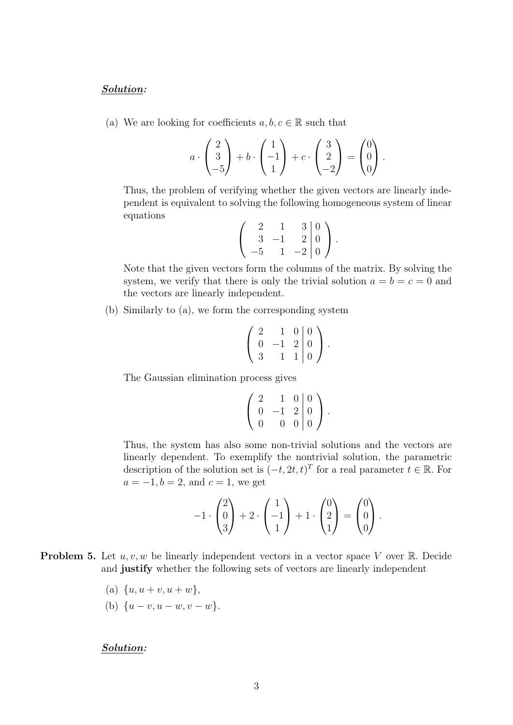#### Solution:

(a) We are looking for coefficients  $a, b, c \in \mathbb{R}$  such that

$$
a \cdot \begin{pmatrix} 2 \\ 3 \\ -5 \end{pmatrix} + b \cdot \begin{pmatrix} 1 \\ -1 \\ 1 \end{pmatrix} + c \cdot \begin{pmatrix} 3 \\ 2 \\ -2 \end{pmatrix} = \begin{pmatrix} 0 \\ 0 \\ 0 \end{pmatrix}.
$$

Thus, the problem of verifying whether the given vectors are linearly independent is equivalent to solving the following homogeneous system of linear equations

$$
\left(\begin{array}{ccc|c} 2 & 1 & 3 & 0 \\ 3 & -1 & 2 & 0 \\ -5 & 1 & -2 & 0 \end{array}\right).
$$

Note that the given vectors form the columns of the matrix. By solving the system, we verify that there is only the trivial solution  $a = b = c = 0$  and the vectors are linearly independent.

(b) Similarly to (a), we form the corresponding system

$$
\left(\begin{array}{ccc|c}\n2 & 1 & 0 & 0 \\
0 & -1 & 2 & 0 \\
3 & 1 & 1 & 0\n\end{array}\right).
$$

The Gaussian elimination process gives

$$
\left(\begin{array}{ccc|c}\n2 & 1 & 0 & 0 \\
0 & -1 & 2 & 0 \\
0 & 0 & 0 & 0\n\end{array}\right).
$$

Thus, the system has also some non-trivial solutions and the vectors are linearly dependent. To exemplify the nontrivial solution, the parametric description of the solution set is  $(-t, 2t, t)^T$  for a real parameter  $t \in \mathbb{R}$ . For  $a = -1, b = 2, and c = 1, we get$ 

$$
-1\cdot \begin{pmatrix} 2 \\ 0 \\ 3 \end{pmatrix} + 2\cdot \begin{pmatrix} 1 \\ -1 \\ 1 \end{pmatrix} + 1\cdot \begin{pmatrix} 0 \\ 2 \\ 1 \end{pmatrix} = \begin{pmatrix} 0 \\ 0 \\ 0 \end{pmatrix}.
$$

- **Problem 5.** Let  $u, v, w$  be linearly independent vectors in a vector space V over R. Decide and justify whether the following sets of vectors are linearly independent
	- (a)  $\{u, u + v, u + w\},\$
	- (b)  $\{u v, u w, v w\}.$

### Solution: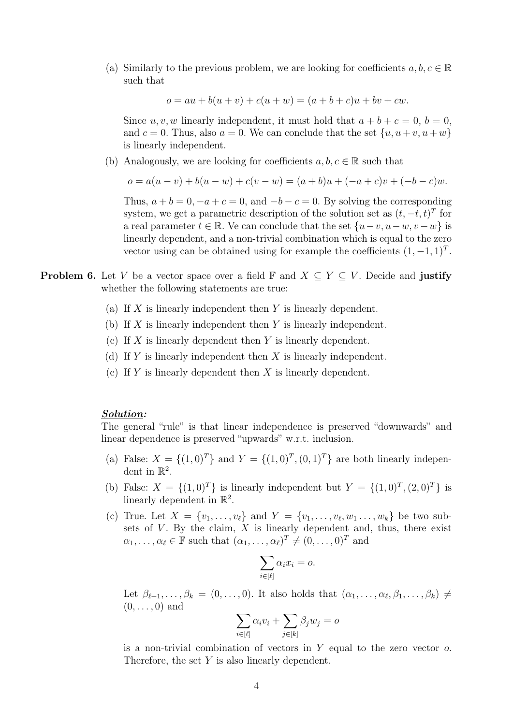(a) Similarly to the previous problem, we are looking for coefficients  $a, b, c \in \mathbb{R}$ such that

 $o = au + b(u + v) + c(u + w) = (a + b + c)u + bv + cw.$ 

Since  $u, v, w$  linearly independent, it must hold that  $a + b + c = 0, b = 0$ , and  $c = 0$ . Thus, also  $a = 0$ . We can conclude that the set  $\{u, u + v, u + w\}$ is linearly independent.

(b) Analogously, we are looking for coefficients  $a, b, c \in \mathbb{R}$  such that

$$
o = a(u - v) + b(u - w) + c(v - w) = (a + b)u + (-a + c)v + (-b - c)w.
$$

Thus,  $a + b = 0, -a + c = 0$ , and  $-b - c = 0$ . By solving the corresponding system, we get a parametric description of the solution set as  $(t, -t, t)^T$  for a real parameter  $t \in \mathbb{R}$ . Ve can conclude that the set  $\{u-v, u-w, v-w\}$  is linearly dependent, and a non-trivial combination which is equal to the zero vector using can be obtained using for example the coefficients  $(1, -1, 1)^T$ .

- **Problem 6.** Let V be a vector space over a field  $\mathbb{F}$  and  $X \subseteq Y \subseteq V$ . Decide and **justify** whether the following statements are true:
	- (a) If  $X$  is linearly independent then  $Y$  is linearly dependent.
	- (b) If X is linearly independent then Y is linearly independent.
	- (c) If X is linearly dependent then Y is linearly dependent.
	- (d) If Y is linearly independent then X is linearly independent.
	- (e) If Y is linearly dependent then  $X$  is linearly dependent.

#### Solution:

The general "rule" is that linear independence is preserved "downwards" and linear dependence is preserved "upwards" w.r.t. inclusion.

- (a) False:  $X = \{(1,0)^T\}$  and  $Y = \{(1,0)^T, (0,1)^T\}$  are both linearly independent in  $\mathbb{R}^2$ .
- (b) False:  $X = \{(1,0)^T\}$  is linearly independent but  $Y = \{(1,0)^T, (2,0)^T\}$  is linearly dependent in  $\mathbb{R}^2$ .
- (c) True. Let  $X = \{v_1, \ldots, v_\ell\}$  and  $Y = \{v_1, \ldots, v_\ell, w_1 \ldots, w_k\}$  be two subsets of  $V$ . By the claim,  $X$  is linearly dependent and, thus, there exist  $\alpha_1, \ldots, \alpha_\ell \in \mathbb{F}$  such that  $(\alpha_1, \ldots, \alpha_\ell)^T \neq (0, \ldots, 0)^T$  and

$$
\sum_{i \in [\ell]} \alpha_i x_i = o.
$$

Let  $\beta_{\ell+1}, \ldots, \beta_k = (0, \ldots, 0)$ . It also holds that  $(\alpha_1, \ldots, \alpha_{\ell}, \beta_1, \ldots, \beta_k) \neq$  $(0, \ldots, 0)$  and

$$
\sum_{i \in [\ell]} \alpha_i v_i + \sum_{j \in [k]} \beta_j w_j = o
$$

is a non-trivial combination of vectors in  $Y$  equal to the zero vector  $o$ . Therefore, the set Y is also linearly dependent.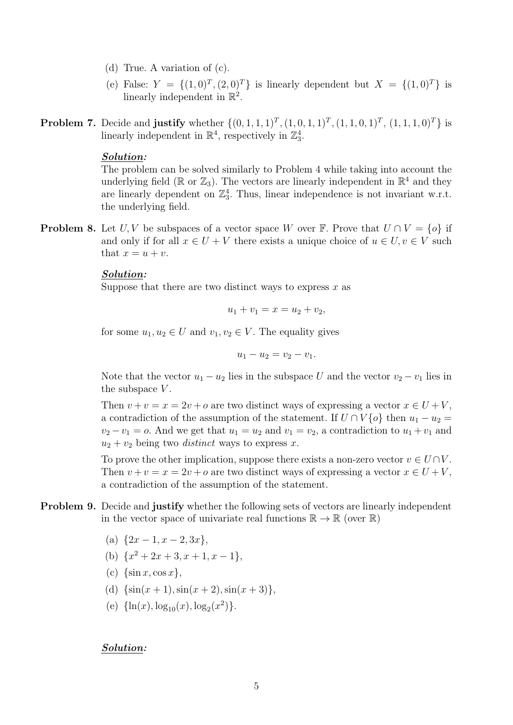- (d) True. A variation of (c).
- (e) False:  $Y = \{(1,0)^T, (2,0)^T\}$  is linearly dependent but  $X = \{(1,0)^T\}$  is linearly independent in  $\mathbb{R}^2$ .
- **Problem 7.** Decide and **justify** whether  $\{(0,1,1,1)^T,(1,0,1,1)^T,(1,1,0,1)^T,(1,1,1,0)^T\}$  is linearly independent in  $\mathbb{R}^4$ , respectively in  $\mathbb{Z}_3^4$ .

### Solution:

The problem can be solved similarly to Problem 4 while taking into account the underlying field ( $\mathbb R$  or  $\mathbb Z_3$ ). The vectors are linearly independent in  $\mathbb R^4$  and they are linearly dependent on  $\mathbb{Z}_3^4$ . Thus, linear independence is not invariant w.r.t. the underlying field.

**Problem 8.** Let U, V be subspaces of a vector space W over F. Prove that  $U \cap V = \{o\}$  if and only if for all  $x \in U + V$  there exists a unique choice of  $u \in U, v \in V$  such that  $x = u + v$ .

#### Solution:

Suppose that there are two distinct ways to express  $x$  as

$$
u_1 + v_1 = x = u_2 + v_2,
$$

for some  $u_1, u_2 \in U$  and  $v_1, v_2 \in V$ . The equality gives

$$
u_1 - u_2 = v_2 - v_1.
$$

Note that the vector  $u_1 - u_2$  lies in the subspace U and the vector  $v_2 - v_1$  lies in the subspace  $V$ .

Then  $v + v = x = 2v + o$  are two distinct ways of expressing a vector  $x \in U + V$ . a contradiction of the assumption of the statement. If  $U \cap V\{o\}$  then  $u_1 - u_2 =$  $v_2 - v_1 = o$ . And we get that  $u_1 = u_2$  and  $v_1 = v_2$ , a contradiction to  $u_1 + v_1$  and  $u_2 + v_2$  being two *distinct* ways to express x.

To prove the other implication, suppose there exists a non-zero vector  $v \in U \cap V$ . Then  $v + v = x = 2v + o$  are two distinct ways of expressing a vector  $x \in U + V$ , a contradiction of the assumption of the statement.

- Problem 9. Decide and justify whether the following sets of vectors are linearly independent in the vector space of univariate real functions  $\mathbb{R} \to \mathbb{R}$  (over  $\mathbb{R}$ )
	- (a)  $\{2x-1, x-2, 3x\},\$
	- (b)  $\{x^2+2x+3, x+1, x-1\},\$
	- (c)  $\{\sin x, \cos x\}$ ,
	- (d)  $\{\sin(x+1),\sin(x+2),\sin(x+3)\},\$
	- (e)  $\{\ln(x), \log_{10}(x), \log_2(x^2)\}.$

### Solution: